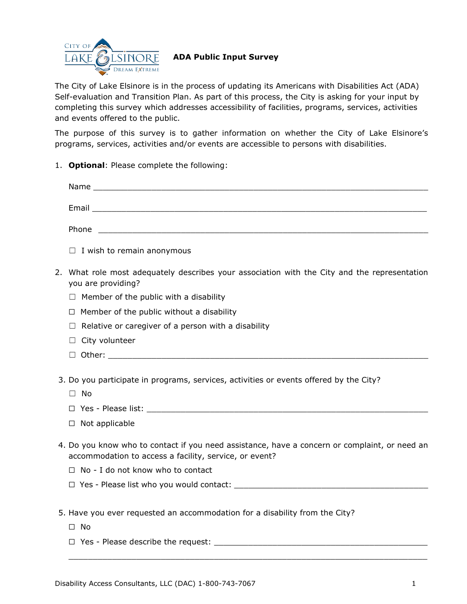

## **ADA Public Input Survey**

The City of Lake Elsinore is in the process of updating its Americans with Disabilities Act (ADA) Self-evaluation and Transition Plan. As part of this process, the City is asking for your input by completing this survey which addresses accessibility of facilities, programs, services, activities and events offered to the public.

The purpose of this survey is to gather information on whether the City of Lake Elsinore's programs, services, activities and/or events are accessible to persons with disabilities.

1. **Optional**: Please complete the following:

| Name                                                                                                                          |  |
|-------------------------------------------------------------------------------------------------------------------------------|--|
| Email<br><u> 1980 - Jan James Santan, masjid a shekara ta 1980 a shekara ta 1980 a shekara ta 1980 a shekara ta 1980 a sh</u> |  |
| Phone<br><u> 1980 - Jan Barnett, fransk politik (d. 1980)</u>                                                                 |  |
| _ _ _ _                                                                                                                       |  |

- $\Box$  I wish to remain anonymous
- 2. What role most adequately describes your association with the City and the representation you are providing?
	- $\Box$  Member of the public with a disability
	- $\Box$  Member of the public without a disability
	- $\Box$  Relative or caregiver of a person with a disability
	- □ City volunteer
	- $\Box$  Other:
- 3. Do you participate in programs, services, activities or events offered by the City?
	- ☐ No
	- $\Box$  Yes Please list:
	- ☐ Not applicable
- 4. Do you know who to contact if you need assistance, have a concern or complaint, or need an accommodation to access a facility, service, or event?

 $\_$  , and the set of the set of the set of the set of the set of the set of the set of the set of the set of the set of the set of the set of the set of the set of the set of the set of the set of the set of the set of th

- ☐ No I do not know who to contact
- $\Box$  Yes Please list who you would contact:
- 5. Have you ever requested an accommodation for a disability from the City?
	- ☐ No
	- $\Box$  Yes Please describe the request: